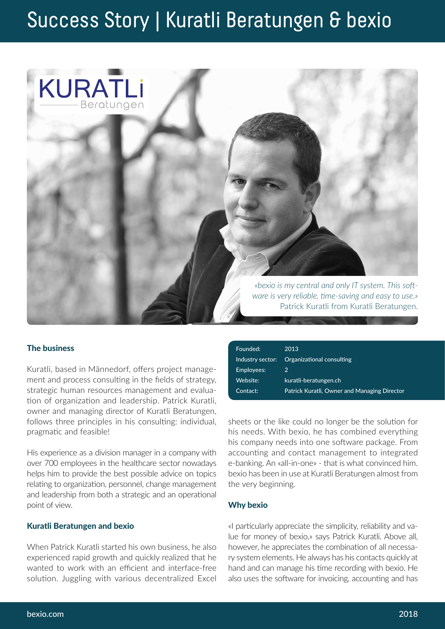# Success Story | Kuratli Beratungen & bexio



## The business

Kuratli, based in Männedorf, offers project management and process consulting in the fields of strategy, strategic human resources management and evaluation of organization and leadership. Patrick Kuratli, owner and managing director of Kuratli Beratungen, follows three principles in his consulting: individual, pragmatic and feasible!

His experience as a division manager in a company with over 700 employees in the healthcare sector nowadays helps him to provide the best possible advice on topics relating to organization, personnel, change management and leadership from both a strategic and an operational point of view.

### Kuratli Beratungen and bexio

When Patrick Kuratli started his own business, he also experienced rapid growth and quickly realized that he wanted to work with an efficient and interface-free solution. Juggling with various decentralized Excel

| Founded:         | 2013                                         |
|------------------|----------------------------------------------|
| Industry sector: | Organizational consulting                    |
| Employees:       | 2                                            |
| Website:         | kuratli-beratungen.ch                        |
| Contact:         | Patrick Kuratli, Owner and Managing Director |

sheets or the like could no longer be the solution for his needs. With bexio, he has combined everything his company needs into one software package. From accounting and contact management to integrated e-banking. An «all-in-one» - that is what convinced him. bexio has been in use at Kuratli Beratungen almost from the very beginning.

#### Why bexio

«I particularly appreciate the simplicity, reliability and value for money of bexio,» says Patrick Kuratli. Above all, however, he appreciates the combination of all necessary system elements. He always has his contacts quickly at hand and can manage his time recording with bexio. He also uses the software for invoicing, accounting and has